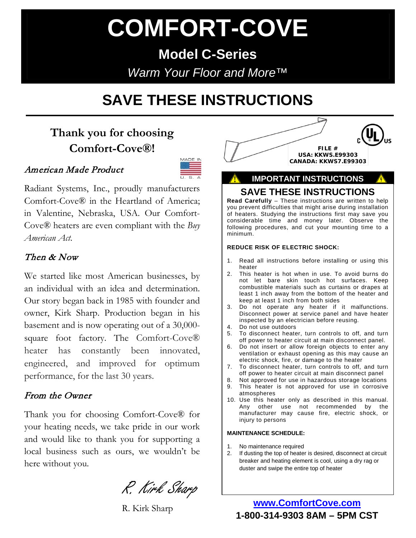# **COMFORT-COVE**

**Model C-Series** *Warm Your Floor and More™*

## **SAVE THESE INSTRUCTIONS**

### **Thank you for choosing Comfort-Cove®!**

#### American Made Product



Radiant Systems, Inc., proudly manufacturers Comfort-Cove® in the Heartland of America; in Valentine, Nebraska, USA. Our Comfort-Cove® heaters are even compliant with the *Buy American Act*.

#### Then & Now

We started like most American businesses, by an individual with an idea and determination. Our story began back in 1985 with founder and owner, Kirk Sharp. Production began in his basement and is now operating out of a 30,000 square foot factory. The Comfort-Cove® heater has constantly been innovated, engineered, and improved for optimum performance, for the last 30 years.

#### From the Owner

Thank you for choosing Comfort-Cove® for your heating needs, we take pride in our work and would like to thank you for supporting a local business such as ours, we wouldn't be here without you.

R. Kirk Sharp

R. Kirk Sharp



#### **IMPORTANT INSTRUCTIONS**

#### **SAVE THESE INSTRUCTIONS**

**Read Carefully** – These instructions are written to help you prevent difficulties that might arise during installation of heaters. Studying the instructions first may save you considerable time and money later. Observe the following procedures, and cut your mounting time to a minimum.

#### **REDUCE RISK OF ELECTRIC SHOCK:**

- 1. Read all instructions before installing or using this heater
- 2. This heater is hot when in use. To avoid burns do not let bare skin touch hot surfaces. Keep combustible materials such as curtains or drapes at least 1 inch away from the bottom of the heater and keep at least 1 inch from both sides
- 3. Do not operate any heater if it malfunctions. Disconnect power at service panel and have heater inspected by an electrician before reusing.
- 4. Do not use outdoors
- 5. To disconnect heater, turn controls to off, and turn off power to heater circuit at main disconnect panel.
- 6. Do not insert or allow foreign objects to enter any ventilation or exhaust opening as this may cause an electric shock, fire, or damage to the heater
- 7. To disconnect heater, turn controls to off, and turn off power to heater circuit at main disconnect panel
- 8. Not approved for use in hazardous storage locations<br>9. This heater is not approved for use in corrosive
- This heater is not approved for use in corrosive atmospheres
- 10. Use this heater only as described in this manual. Any other use not recommended by the manufacturer may cause fire, electric shock, or injury to persons

#### **MAINTENANCE SCHEDULE:**

- 1. No maintenance required
- 2. If dusting the top of heater is desired, disconnect at circuit breaker and heating element is cool, using a dry rag or duster and swipe the entire top of heater

**www.ComfortCove.com 1-800-314-9303 8AM – 5PM CST**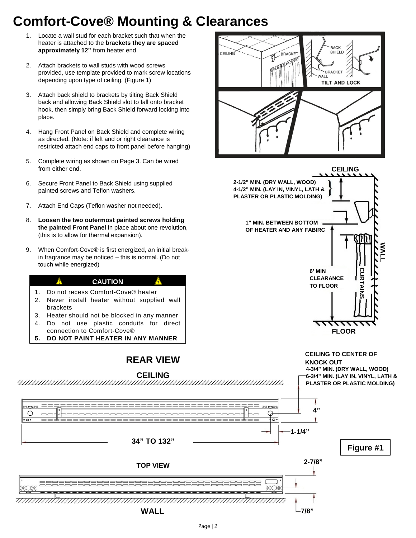## **Comfort-Cove® Mounting & Clearances**

CEILING

- 1. Locate a wall stud for each bracket such that when the heater is attached to the **brackets they are spaced approximately 12"** from heater end.
- 2. Attach brackets to wall studs with wood screws provided, use template provided to mark screw locations depending upon type of ceiling. (Figure 1)
- 3. Attach back shield to brackets by tilting Back Shield back and allowing Back Shield slot to fall onto bracket hook, then simply bring Back Shield forward locking into place.
- 4. Hang Front Panel on Back Shield and complete wiring as directed. (Note: if left and or right clearance is restricted attach end caps to front panel before hanging)
- 5. Complete wiring as shown on Page 3. Can be wired from either end.
- 6. Secure Front Panel to Back Shield using supplied painted screws and Teflon washers.
- 7. Attach End Caps (Teflon washer not needed).
- 8. **Loosen the two outermost painted screws holding the painted Front Panel** in place about one revolution, (this is to allow for thermal expansion).
- 9. When Comfort-Cove® is first energized, an initial breakin fragrance may be noticed – this is normal. (Do not touch while energized)

#### **CAUTION**

- 1. Do not recess Comfort-Cove® heater
- 2. Never install heater without supplied wall brackets
- 3. Heater should not be blocked in any manner
- 4. Do not use plastic conduits for direct connection to Comfort-Cove®
- **5. DO NOT PAINT HEATER IN ANY MANNER**

#### **REAR VIEW**







BRACKE

**BACK** SHIELD

**BRACKET** WALL

**TILT AND LOCK** 



**Figure #1**

**4"**

۷

Δ

**1-1/4"**

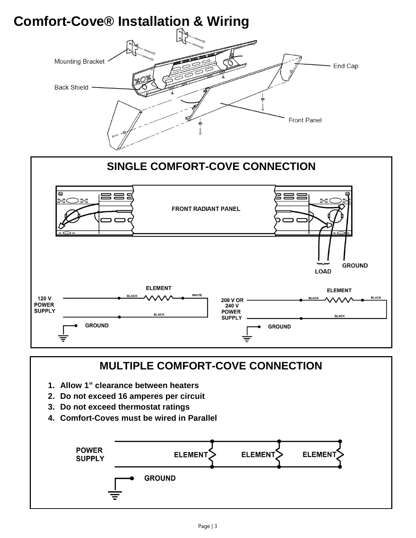



### **MULTIPLE COMFORT-COVE CONNECTION**

- **1. Allow 1" clearance between heaters**
- **2. Do not exceed 16 amperes per circuit**
- **3. Do not exceed thermostat ratings**
- **4. Comfort-Coves must be wired in Parallel**